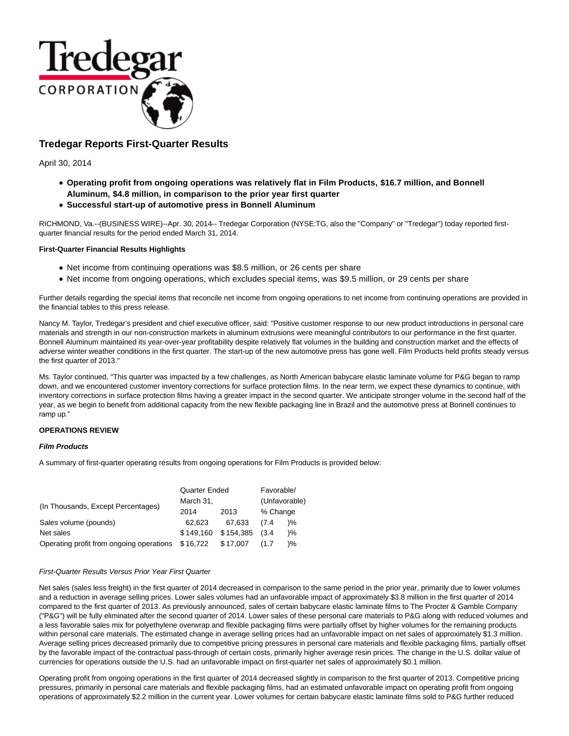

# **Tredegar Reports First-Quarter Results**

April 30, 2014

- **Operating profit from ongoing operations was relatively flat in Film Products, \$16.7 million, and Bonnell Aluminum, \$4.8 million, in comparison to the prior year first quarter**
- **Successful start-up of automotive press in Bonnell Aluminum**

RICHMOND, Va.--(BUSINESS WIRE)--Apr. 30, 2014-- Tredegar Corporation (NYSE:TG, also the "Company" or "Tredegar") today reported firstquarter financial results for the period ended March 31, 2014.

#### **First-Quarter Financial Results Highlights**

- Net income from continuing operations was \$8.5 million, or 26 cents per share
- Net income from ongoing operations, which excludes special items, was \$9.5 million, or 29 cents per share

Further details regarding the special items that reconcile net income from ongoing operations to net income from continuing operations are provided in the financial tables to this press release.

Nancy M. Taylor, Tredegar's president and chief executive officer, said: "Positive customer response to our new product introductions in personal care materials and strength in our non-construction markets in aluminum extrusions were meaningful contributors to our performance in the first quarter. Bonnell Aluminum maintained its year-over-year profitability despite relatively flat volumes in the building and construction market and the effects of adverse winter weather conditions in the first quarter. The start-up of the new automotive press has gone well. Film Products held profits steady versus the first quarter of 2013."

Ms. Taylor continued, "This quarter was impacted by a few challenges, as North American babycare elastic laminate volume for P&G began to ramp down, and we encountered customer inventory corrections for surface protection films. In the near term, we expect these dynamics to continue, with inventory corrections in surface protection films having a greater impact in the second quarter. We anticipate stronger volume in the second half of the year, as we begin to benefit from additional capacity from the new flexible packaging line in Brazil and the automotive press at Bonnell continues to ramp up."

### **OPERATIONS REVIEW**

#### **Film Products**

A summary of first-quarter operating results from ongoing operations for Film Products is provided below:

|                                          | Quarter Ended | Favorable/    |          |               |
|------------------------------------------|---------------|---------------|----------|---------------|
| (In Thousands, Except Percentages)       | March 31,     | (Unfavorable) |          |               |
|                                          | 2014          | 2013          | % Change |               |
| Sales volume (pounds)                    | 62.623        | 67.633        | (7.4)    | )%            |
| Net sales                                | \$149.160     | \$154,385     | (3.4)    | $\frac{9}{6}$ |
| Operating profit from ongoing operations | \$16,722      | \$17.007      | (1.7)    | )%            |

### First-Quarter Results Versus Prior Year First Quarter

Net sales (sales less freight) in the first quarter of 2014 decreased in comparison to the same period in the prior year, primarily due to lower volumes and a reduction in average selling prices. Lower sales volumes had an unfavorable impact of approximately \$3.8 million in the first quarter of 2014 compared to the first quarter of 2013. As previously announced, sales of certain babycare elastic laminate films to The Procter & Gamble Company ("P&G") will be fully eliminated after the second quarter of 2014. Lower sales of these personal care materials to P&G along with reduced volumes and a less favorable sales mix for polyethylene overwrap and flexible packaging films were partially offset by higher volumes for the remaining products within personal care materials. The estimated change in average selling prices had an unfavorable impact on net sales of approximately \$1.3 million. Average selling prices decreased primarily due to competitive pricing pressures in personal care materials and flexible packaging films, partially offset by the favorable impact of the contractual pass-through of certain costs, primarily higher average resin prices. The change in the U.S. dollar value of currencies for operations outside the U.S. had an unfavorable impact on first-quarter net sales of approximately \$0.1 million.

Operating profit from ongoing operations in the first quarter of 2014 decreased slightly in comparison to the first quarter of 2013. Competitive pricing pressures, primarily in personal care materials and flexible packaging films, had an estimated unfavorable impact on operating profit from ongoing operations of approximately \$2.2 million in the current year. Lower volumes for certain babycare elastic laminate films sold to P&G further reduced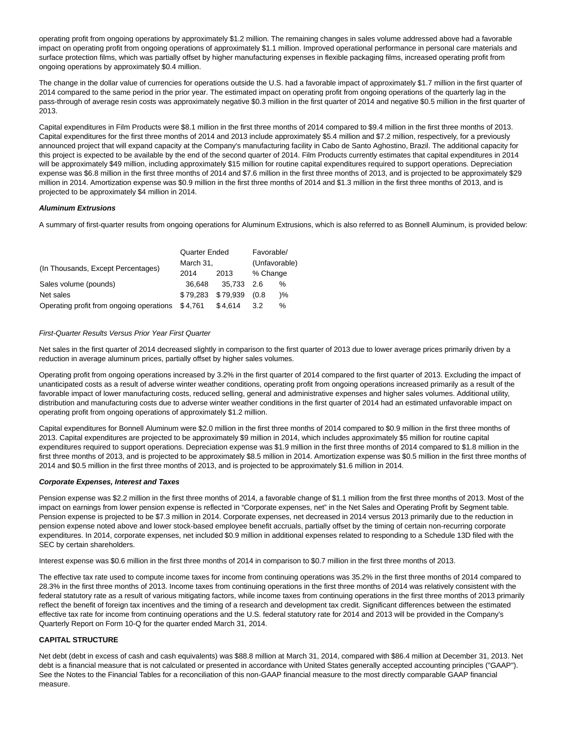operating profit from ongoing operations by approximately \$1.2 million. The remaining changes in sales volume addressed above had a favorable impact on operating profit from ongoing operations of approximately \$1.1 million. Improved operational performance in personal care materials and surface protection films, which was partially offset by higher manufacturing expenses in flexible packaging films, increased operating profit from ongoing operations by approximately \$0.4 million.

The change in the dollar value of currencies for operations outside the U.S. had a favorable impact of approximately \$1.7 million in the first quarter of 2014 compared to the same period in the prior year. The estimated impact on operating profit from ongoing operations of the quarterly lag in the pass-through of average resin costs was approximately negative \$0.3 million in the first quarter of 2014 and negative \$0.5 million in the first quarter of 2013.

Capital expenditures in Film Products were \$8.1 million in the first three months of 2014 compared to \$9.4 million in the first three months of 2013. Capital expenditures for the first three months of 2014 and 2013 include approximately \$5.4 million and \$7.2 million, respectively, for a previously announced project that will expand capacity at the Company's manufacturing facility in Cabo de Santo Aghostino, Brazil. The additional capacity for this project is expected to be available by the end of the second quarter of 2014. Film Products currently estimates that capital expenditures in 2014 will be approximately \$49 million, including approximately \$15 million for routine capital expenditures required to support operations. Depreciation expense was \$6.8 million in the first three months of 2014 and \$7.6 million in the first three months of 2013, and is projected to be approximately \$29 million in 2014. Amortization expense was \$0.9 million in the first three months of 2014 and \$1.3 million in the first three months of 2013, and is projected to be approximately \$4 million in 2014.

## **Aluminum Extrusions**

A summary of first-quarter results from ongoing operations for Aluminum Extrusions, which is also referred to as Bonnell Aluminum, is provided below:

|                                          | Quarter Ended | Favorable/        |          |               |
|------------------------------------------|---------------|-------------------|----------|---------------|
| (In Thousands, Except Percentages)       | March 31,     | (Unfavorable)     |          |               |
|                                          | 2014          | 2013              | % Change |               |
| Sales volume (pounds)                    | 36.648        | 35.733 2.6        |          | %             |
| Net sales                                |               | \$79,283 \$79,939 | (0.8)    | $\frac{9}{6}$ |
| Operating profit from ongoing operations | \$4,761       | \$4,614           | 3.2      | %             |

## First-Quarter Results Versus Prior Year First Quarter

Net sales in the first quarter of 2014 decreased slightly in comparison to the first quarter of 2013 due to lower average prices primarily driven by a reduction in average aluminum prices, partially offset by higher sales volumes.

Operating profit from ongoing operations increased by 3.2% in the first quarter of 2014 compared to the first quarter of 2013. Excluding the impact of unanticipated costs as a result of adverse winter weather conditions, operating profit from ongoing operations increased primarily as a result of the favorable impact of lower manufacturing costs, reduced selling, general and administrative expenses and higher sales volumes. Additional utility, distribution and manufacturing costs due to adverse winter weather conditions in the first quarter of 2014 had an estimated unfavorable impact on operating profit from ongoing operations of approximately \$1.2 million.

Capital expenditures for Bonnell Aluminum were \$2.0 million in the first three months of 2014 compared to \$0.9 million in the first three months of 2013. Capital expenditures are projected to be approximately \$9 million in 2014, which includes approximately \$5 million for routine capital expenditures required to support operations. Depreciation expense was \$1.9 million in the first three months of 2014 compared to \$1.8 million in the first three months of 2013, and is projected to be approximately \$8.5 million in 2014. Amortization expense was \$0.5 million in the first three months of 2014 and \$0.5 million in the first three months of 2013, and is projected to be approximately \$1.6 million in 2014.

### **Corporate Expenses, Interest and Taxes**

Pension expense was \$2.2 million in the first three months of 2014, a favorable change of \$1.1 million from the first three months of 2013. Most of the impact on earnings from lower pension expense is reflected in "Corporate expenses, net" in the Net Sales and Operating Profit by Segment table. Pension expense is projected to be \$7.3 million in 2014. Corporate expenses, net decreased in 2014 versus 2013 primarily due to the reduction in pension expense noted above and lower stock-based employee benefit accruals, partially offset by the timing of certain non-recurring corporate expenditures. In 2014, corporate expenses, net included \$0.9 million in additional expenses related to responding to a Schedule 13D filed with the SEC by certain shareholders.

Interest expense was \$0.6 million in the first three months of 2014 in comparison to \$0.7 million in the first three months of 2013.

The effective tax rate used to compute income taxes for income from continuing operations was 35.2% in the first three months of 2014 compared to 28.3% in the first three months of 2013. Income taxes from continuing operations in the first three months of 2014 was relatively consistent with the federal statutory rate as a result of various mitigating factors, while income taxes from continuing operations in the first three months of 2013 primarily reflect the benefit of foreign tax incentives and the timing of a research and development tax credit. Significant differences between the estimated effective tax rate for income from continuing operations and the U.S. federal statutory rate for 2014 and 2013 will be provided in the Company's Quarterly Report on Form 10-Q for the quarter ended March 31, 2014.

### **CAPITAL STRUCTURE**

Net debt (debt in excess of cash and cash equivalents) was \$88.8 million at March 31, 2014, compared with \$86.4 million at December 31, 2013. Net debt is a financial measure that is not calculated or presented in accordance with United States generally accepted accounting principles ("GAAP"). See the Notes to the Financial Tables for a reconciliation of this non-GAAP financial measure to the most directly comparable GAAP financial measure.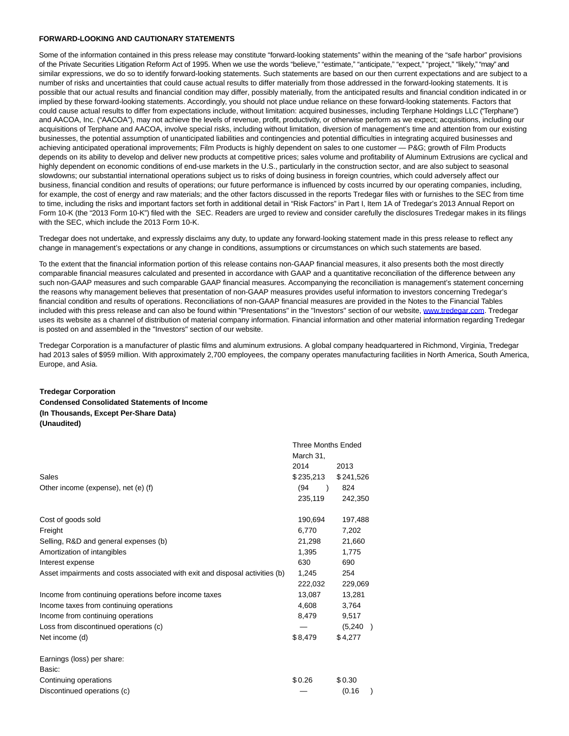#### **FORWARD-LOOKING AND CAUTIONARY STATEMENTS**

Some of the information contained in this press release may constitute "forward-looking statements" within the meaning of the "safe harbor" provisions of the Private Securities Litigation Reform Act of 1995. When we use the words "believe," "estimate," "anticipate," "expect," "project," "likely," "may" and similar expressions, we do so to identify forward-looking statements. Such statements are based on our then current expectations and are subject to a number of risks and uncertainties that could cause actual results to differ materially from those addressed in the forward-looking statements. It is possible that our actual results and financial condition may differ, possibly materially, from the anticipated results and financial condition indicated in or implied by these forward-looking statements. Accordingly, you should not place undue reliance on these forward-looking statements. Factors that could cause actual results to differ from expectations include, without limitation: acquired businesses, including Terphane Holdings LLC ("Terphane") and AACOA, Inc. ("AACOA"), may not achieve the levels of revenue, profit, productivity, or otherwise perform as we expect; acquisitions, including our acquisitions of Terphane and AACOA, involve special risks, including without limitation, diversion of management's time and attention from our existing businesses, the potential assumption of unanticipated liabilities and contingencies and potential difficulties in integrating acquired businesses and achieving anticipated operational improvements; Film Products is highly dependent on sales to one customer — P&G; growth of Film Products depends on its ability to develop and deliver new products at competitive prices; sales volume and profitability of Aluminum Extrusions are cyclical and highly dependent on economic conditions of end-use markets in the U.S., particularly in the construction sector, and are also subject to seasonal slowdowns; our substantial international operations subject us to risks of doing business in foreign countries, which could adversely affect our business, financial condition and results of operations; our future performance is influenced by costs incurred by our operating companies, including, for example, the cost of energy and raw materials; and the other factors discussed in the reports Tredegar files with or furnishes to the SEC from time to time, including the risks and important factors set forth in additional detail in "Risk Factors" in Part I, Item 1A of Tredegar's 2013 Annual Report on Form 10-K (the "2013 Form 10-K") filed with the SEC. Readers are urged to review and consider carefully the disclosures Tredegar makes in its filings with the SEC, which include the 2013 Form 10-K.

Tredegar does not undertake, and expressly disclaims any duty, to update any forward-looking statement made in this press release to reflect any change in management's expectations or any change in conditions, assumptions or circumstances on which such statements are based.

To the extent that the financial information portion of this release contains non-GAAP financial measures, it also presents both the most directly comparable financial measures calculated and presented in accordance with GAAP and a quantitative reconciliation of the difference between any such non-GAAP measures and such comparable GAAP financial measures. Accompanying the reconciliation is management's statement concerning the reasons why management believes that presentation of non-GAAP measures provides useful information to investors concerning Tredegar's financial condition and results of operations. Reconciliations of non-GAAP financial measures are provided in the Notes to the Financial Tables included with this press release and can also be found within "Presentations" in the "Investors" section of our website, [www.tredegar.com.](http://www.tredegar.com/) Tredegar uses its website as a channel of distribution of material company information. Financial information and other material information regarding Tredegar is posted on and assembled in the "Investors" section of our website.

Tredegar Corporation is a manufacturer of plastic films and aluminum extrusions. A global company headquartered in Richmond, Virginia, Tredegar had 2013 sales of \$959 million. With approximately 2,700 employees, the company operates manufacturing facilities in North America, South America, Europe, and Asia.

#### **Tredegar Corporation**

**Condensed Consolidated Statements of Income (In Thousands, Except Per-Share Data) (Unaudited)**

|                                                                              | <b>Three Months Ended</b> |                          |
|------------------------------------------------------------------------------|---------------------------|--------------------------|
|                                                                              | March 31,                 |                          |
|                                                                              | 2014                      | 2013                     |
| Sales                                                                        | \$235,213                 | \$241,526                |
| Other income (expense), net (e) (f)                                          | (94)<br>$\rightarrow$     | 824                      |
|                                                                              | 235,119                   | 242,350                  |
| Cost of goods sold                                                           | 190,694                   | 197,488                  |
| Freight                                                                      | 6.770                     | 7.202                    |
| Selling, R&D and general expenses (b)                                        | 21,298                    | 21,660                   |
| Amortization of intangibles                                                  | 1,395                     | 1,775                    |
| Interest expense                                                             | 630                       | 690                      |
| Asset impairments and costs associated with exit and disposal activities (b) | 1,245                     | 254                      |
|                                                                              | 222,032                   | 229,069                  |
| Income from continuing operations before income taxes                        | 13,087                    | 13,281                   |
| Income taxes from continuing operations                                      | 4.608                     | 3,764                    |
| Income from continuing operations                                            | 8,479                     | 9,517                    |
| Loss from discontinued operations (c)                                        |                           | (5,240)<br>$\rightarrow$ |
| Net income (d)                                                               | \$8,479                   | \$4,277                  |
| Earnings (loss) per share:<br>Basic:                                         |                           |                          |
| Continuing operations                                                        | \$0.26                    | \$0.30                   |
| Discontinued operations (c)                                                  |                           | (0.16)                   |
|                                                                              |                           |                          |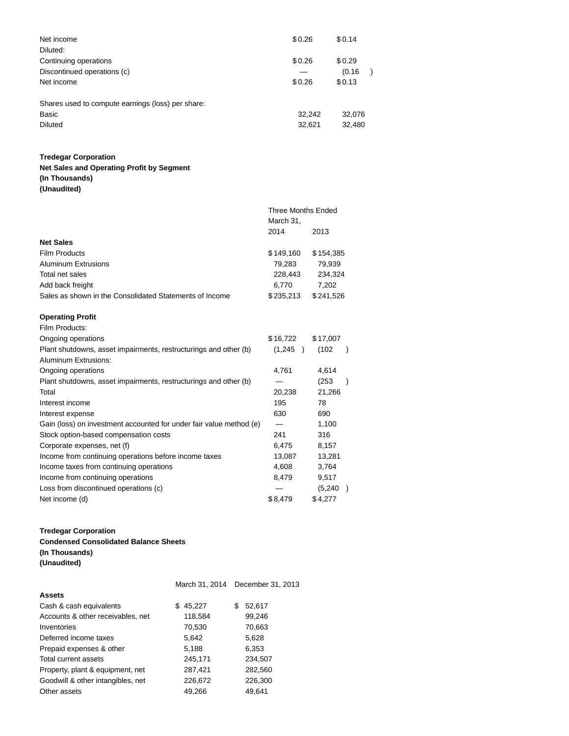| Net income                                        | \$0.26 | \$0.14 |
|---------------------------------------------------|--------|--------|
| Diluted:                                          |        |        |
| Continuing operations                             | \$0.26 | \$0.29 |
| Discontinued operations (c)                       |        | (0.16) |
| Net income                                        | \$0.26 | \$0.13 |
| Shares used to compute earnings (loss) per share: |        |        |
| Basic                                             | 32,242 | 32,076 |
| <b>Diluted</b>                                    | 32,621 | 32,480 |

# **Tredegar Corporation**

# **Net Sales and Operating Profit by Segment**

**(In Thousands)**

| (Unaudited) |  |
|-------------|--|
|-------------|--|

|                                                                     | <b>Three Months Ended</b> |                        |  |
|---------------------------------------------------------------------|---------------------------|------------------------|--|
|                                                                     | March 31,                 |                        |  |
|                                                                     | 2014                      | 2013                   |  |
| <b>Net Sales</b>                                                    |                           |                        |  |
| <b>Film Products</b>                                                | \$149,160                 | \$154,385              |  |
| <b>Aluminum Extrusions</b>                                          | 79,283                    | 79,939                 |  |
| Total net sales                                                     | 228,443                   | 234,324                |  |
| Add back freight                                                    | 6,770                     | 7,202                  |  |
| Sales as shown in the Consolidated Statements of Income             | \$235,213                 | \$241,526              |  |
| <b>Operating Profit</b>                                             |                           |                        |  |
| Film Products:                                                      |                           |                        |  |
| Ongoing operations                                                  | \$16,722                  | \$17,007               |  |
| Plant shutdowns, asset impairments, restructurings and other (b)    | (1,245)                   | (102)<br>$\rightarrow$ |  |
| Aluminum Extrusions:                                                |                           |                        |  |
| Ongoing operations                                                  | 4,761                     | 4,614                  |  |
| Plant shutdowns, asset impairments, restructurings and other (b)    |                           | (253)<br>$\lambda$     |  |
| Total                                                               | 20,238                    | 21,266                 |  |
| Interest income                                                     | 195                       | 78                     |  |
| Interest expense                                                    | 630                       | 690                    |  |
| Gain (loss) on investment accounted for under fair value method (e) |                           | 1,100                  |  |
| Stock option-based compensation costs                               | 241                       | 316                    |  |
| Corporate expenses, net (f)                                         | 6,475                     | 8,157                  |  |
| Income from continuing operations before income taxes               | 13,087                    | 13,281                 |  |
| Income taxes from continuing operations                             | 4,608                     | 3,764                  |  |
| Income from continuing operations                                   | 8,479                     | 9,517                  |  |
| Loss from discontinued operations (c)                               |                           | (5,240)                |  |
| Net income (d)                                                      | \$8,479                   | \$4,277                |  |

# **Tredegar Corporation**

# **Condensed Consolidated Balance Sheets (In Thousands) (Unaudited)**

|                                   | March 31, 2014 | December 31, 2013 |
|-----------------------------------|----------------|-------------------|
| <b>Assets</b>                     |                |                   |
| Cash & cash equivalents           | \$45,227       | 52,617<br>S       |
| Accounts & other receivables, net | 118,584        | 99,246            |
| Inventories                       | 70,530         | 70,663            |
| Deferred income taxes             | 5,642          | 5,628             |
| Prepaid expenses & other          | 5,188          | 6,353             |
| Total current assets              | 245,171        | 234,507           |
| Property, plant & equipment, net  | 287,421        | 282,560           |
| Goodwill & other intangibles, net | 226,672        | 226,300           |
| Other assets                      | 49.266         | 49.641            |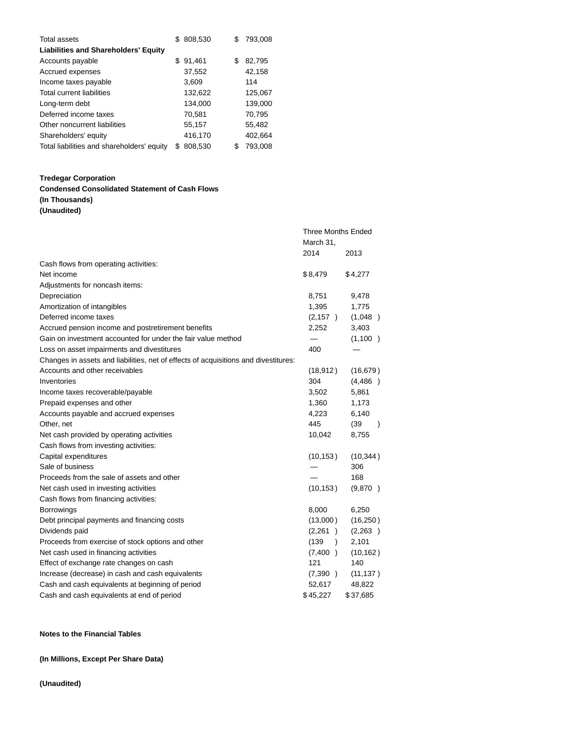| Total assets                                |    | \$808,530 |   | 793,008 |
|---------------------------------------------|----|-----------|---|---------|
| <b>Liabilities and Shareholders' Equity</b> |    |           |   |         |
| Accounts payable                            | S. | 91,461    | S | 82,795  |
| Accrued expenses                            |    | 37,552    |   | 42,158  |
| Income taxes payable                        |    | 3,609     |   | 114     |
| Total current liabilities                   |    | 132,622   |   | 125,067 |
| Long-term debt                              |    | 134,000   |   | 139,000 |
| Deferred income taxes                       |    | 70,581    |   | 70,795  |
| Other noncurrent liabilities                |    | 55,157    |   | 55,482  |
| Shareholders' equity                        |    | 416,170   |   | 402,664 |
| Total liabilities and shareholders' equity  | \$ | 808,530   |   | 793.008 |

## **Tredegar Corporation**

## **Condensed Consolidated Statement of Cash Flows (In Thousands)**

**(Unaudited)**

|                                                                                     | <b>Three Months Ended</b> |           |  |
|-------------------------------------------------------------------------------------|---------------------------|-----------|--|
|                                                                                     | March 31,                 |           |  |
|                                                                                     | 2014                      | 2013      |  |
| Cash flows from operating activities:<br>Net income                                 |                           |           |  |
|                                                                                     | \$8,479                   | \$4,277   |  |
| Adjustments for noncash items:                                                      |                           |           |  |
| Depreciation                                                                        | 8,751                     | 9,478     |  |
| Amortization of intangibles                                                         | 1,395                     | 1,775     |  |
| Deferred income taxes                                                               | (2, 157)                  | (1,048)   |  |
| Accrued pension income and postretirement benefits                                  | 2,252                     | 3,403     |  |
| Gain on investment accounted for under the fair value method                        |                           | (1,100)   |  |
| Loss on asset impairments and divestitures                                          | 400                       |           |  |
| Changes in assets and liabilities, net of effects of acquisitions and divestitures: |                           |           |  |
| Accounts and other receivables                                                      | (18, 912)                 | (16, 679) |  |
| Inventories                                                                         | 304                       | (4, 486)  |  |
| Income taxes recoverable/payable                                                    | 3,502                     | 5,861     |  |
| Prepaid expenses and other                                                          | 1,360                     | 1,173     |  |
| Accounts payable and accrued expenses                                               | 4,223                     | 6,140     |  |
| Other, net                                                                          | 445                       | (39)      |  |
| Net cash provided by operating activities                                           | 10,042                    | 8,755     |  |
| Cash flows from investing activities:                                               |                           |           |  |
| Capital expenditures                                                                | (10, 153)                 | (10, 344) |  |
| Sale of business                                                                    |                           | 306       |  |
| Proceeds from the sale of assets and other                                          |                           | 168       |  |
| Net cash used in investing activities                                               | (10, 153)                 | (9,870)   |  |
| Cash flows from financing activities:                                               |                           |           |  |
| <b>Borrowings</b>                                                                   | 8,000                     | 6,250     |  |
| Debt principal payments and financing costs                                         | (13,000)                  | (16, 250) |  |
| Dividends paid                                                                      | (2,261)                   | (2,263)   |  |
| Proceeds from exercise of stock options and other                                   | (139)<br>$\rightarrow$    | 2,101     |  |
| Net cash used in financing activities                                               | (7,400)                   | (10, 162) |  |
| Effect of exchange rate changes on cash                                             | 121                       | 140       |  |
| Increase (decrease) in cash and cash equivalents                                    | (7,390)                   | (11, 137) |  |
| Cash and cash equivalents at beginning of period                                    | 52,617                    | 48,822    |  |
| Cash and cash equivalents at end of period                                          | \$45,227                  | \$37,685  |  |

## **Notes to the Financial Tables**

**(In Millions, Except Per Share Data)**

## **(Unaudited)**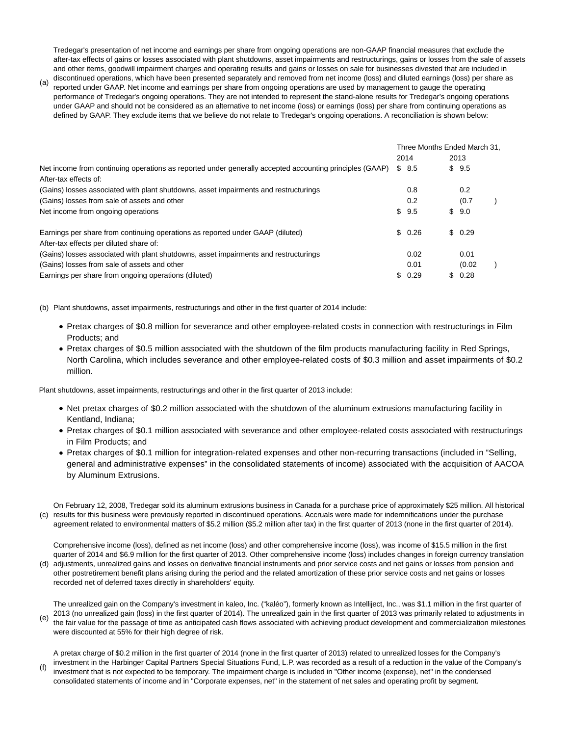Tredegar's presentation of net income and earnings per share from ongoing operations are non-GAAP financial measures that exclude the after-tax effects of gains or losses associated with plant shutdowns, asset impairments and restructurings, gains or losses from the sale of assets and other items, goodwill impairment charges and operating results and gains or losses on sale for businesses divested that are included in

(a) discontinued operations, which have been presented separately and removed from net income (loss) and diluted earnings (loss) per share as reported under GAAP. Net income and earnings per share from ongoing operations are used by management to gauge the operating performance of Tredegar's ongoing operations. They are not intended to represent the stand-alone results for Tredegar's ongoing operations under GAAP and should not be considered as an alternative to net income (loss) or earnings (loss) per share from continuing operations as defined by GAAP. They exclude items that we believe do not relate to Tredegar's ongoing operations. A reconciliation is shown below:

|                                                                                                         |        | Three Months Ended March 31, |        |  |
|---------------------------------------------------------------------------------------------------------|--------|------------------------------|--------|--|
|                                                                                                         | 2014   |                              | 2013   |  |
| Net income from continuing operations as reported under generally accepted accounting principles (GAAP) | \$8.5  |                              | \$9.5  |  |
| After-tax effects of:                                                                                   |        |                              |        |  |
| (Gains) losses associated with plant shutdowns, asset impairments and restructurings                    | 0.8    |                              | 0.2    |  |
| (Gains) losses from sale of assets and other                                                            | 0.2    |                              | (0.7)  |  |
| Net income from ongoing operations                                                                      | \$9.5  |                              | \$9.0  |  |
| Earnings per share from continuing operations as reported under GAAP (diluted)                          | \$0.26 |                              | \$0.29 |  |
| After-tax effects per diluted share of:                                                                 |        |                              |        |  |
| (Gains) losses associated with plant shutdowns, asset impairments and restructurings                    | 0.02   |                              | 0.01   |  |
| (Gains) losses from sale of assets and other                                                            | 0.01   |                              | (0.02) |  |
| Earnings per share from ongoing operations (diluted)                                                    | 0.29   |                              | 0.28   |  |

(b) Plant shutdowns, asset impairments, restructurings and other in the first quarter of 2014 include:

- Pretax charges of \$0.8 million for severance and other employee-related costs in connection with restructurings in Film Products; and
- Pretax charges of \$0.5 million associated with the shutdown of the film products manufacturing facility in Red Springs, North Carolina, which includes severance and other employee-related costs of \$0.3 million and asset impairments of \$0.2 million.

Plant shutdowns, asset impairments, restructurings and other in the first quarter of 2013 include:

recorded net of deferred taxes directly in shareholders' equity.

- Net pretax charges of \$0.2 million associated with the shutdown of the aluminum extrusions manufacturing facility in Kentland, Indiana;
- Pretax charges of \$0.1 million associated with severance and other employee-related costs associated with restructurings in Film Products; and
- Pretax charges of \$0.1 million for integration-related expenses and other non-recurring transactions (included in "Selling, general and administrative expenses" in the consolidated statements of income) associated with the acquisition of AACOA by Aluminum Extrusions.
- (c) results for this business were previously reported in discontinued operations. Accruals were made for indemnifications under the purchase On February 12, 2008, Tredegar sold its aluminum extrusions business in Canada for a purchase price of approximately \$25 million. All historical agreement related to environmental matters of \$5.2 million (\$5.2 million after tax) in the first quarter of 2013 (none in the first quarter of 2014).

(d) adjustments, unrealized gains and losses on derivative financial instruments and prior service costs and net gains or losses from pension and Comprehensive income (loss), defined as net income (loss) and other comprehensive income (loss), was income of \$15.5 million in the first quarter of 2014 and \$6.9 million for the first quarter of 2013. Other comprehensive income (loss) includes changes in foreign currency translation other postretirement benefit plans arising during the period and the related amortization of these prior service costs and net gains or losses

(e) The unrealized gain on the Company's investment in kaleo, Inc. ("kaléo"), formerly known as Intelliject, Inc., was \$1.1 million in the first quarter of 2013 (no unrealized gain (loss) in the first quarter of 2014). The unrealized gain in the first quarter of 2013 was primarily related to adjustments in the fair value for the passage of time as anticipated cash flows associated with achieving product development and commercialization milestones were discounted at 55% for their high degree of risk.

(f) A pretax charge of \$0.2 million in the first quarter of 2014 (none in the first quarter of 2013) related to unrealized losses for the Company's investment in the Harbinger Capital Partners Special Situations Fund, L.P. was recorded as a result of a reduction in the value of the Company's investment that is not expected to be temporary. The impairment charge is included in "Other income (expense), net" in the condensed consolidated statements of income and in "Corporate expenses, net" in the statement of net sales and operating profit by segment.